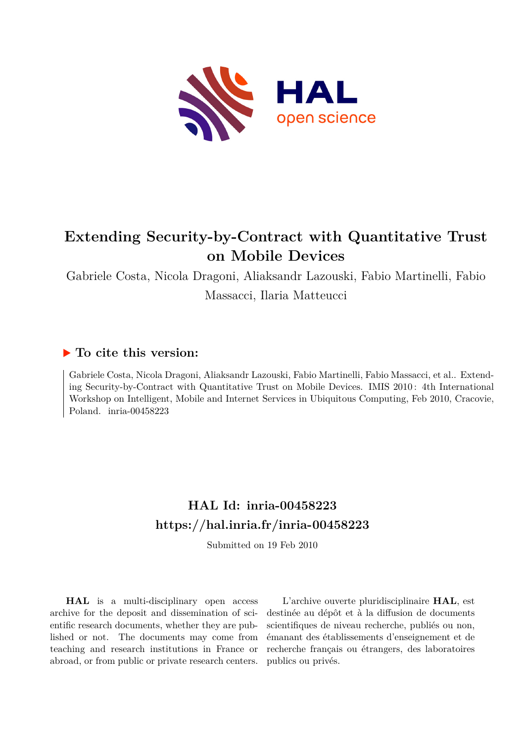

# **Extending Security-by-Contract with Quantitative Trust on Mobile Devices**

Gabriele Costa, Nicola Dragoni, Aliaksandr Lazouski, Fabio Martinelli, Fabio Massacci, Ilaria Matteucci

# **To cite this version:**

Gabriele Costa, Nicola Dragoni, Aliaksandr Lazouski, Fabio Martinelli, Fabio Massacci, et al.. Extending Security-by-Contract with Quantitative Trust on Mobile Devices. IMIS 2010 : 4th International Workshop on Intelligent, Mobile and Internet Services in Ubiquitous Computing, Feb 2010, Cracovie, Poland. inria-00458223

# **HAL Id: inria-00458223 <https://hal.inria.fr/inria-00458223>**

Submitted on 19 Feb 2010

**HAL** is a multi-disciplinary open access archive for the deposit and dissemination of scientific research documents, whether they are published or not. The documents may come from teaching and research institutions in France or abroad, or from public or private research centers.

L'archive ouverte pluridisciplinaire **HAL**, est destinée au dépôt et à la diffusion de documents scientifiques de niveau recherche, publiés ou non, émanant des établissements d'enseignement et de recherche français ou étrangers, des laboratoires publics ou privés.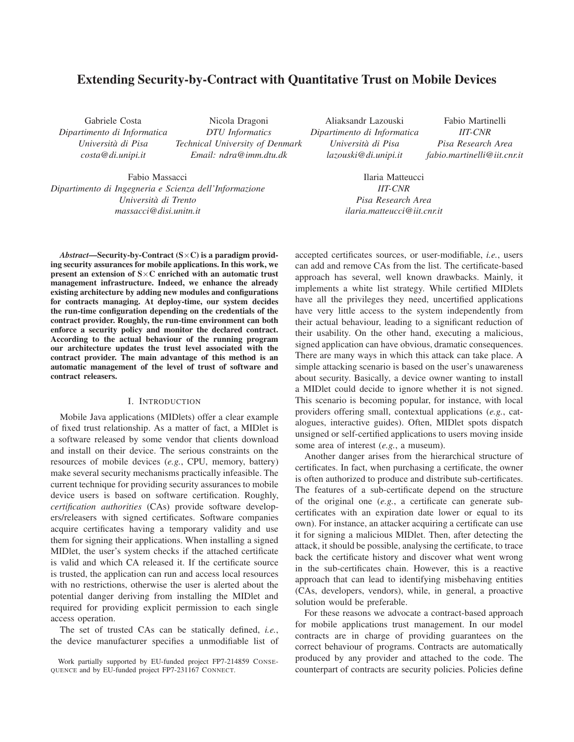# **Extending Security-by-Contract with Quantitative Trust on Mobile Devices**

Gabriele Costa *Dipartimento di Informatica Universita di Pisa ` costa@di.unipi.it*

Nicola Dragoni *DTU Informatics Technical University of Denmark Email: ndra@imm.dtu.dk*

Aliaksandr Lazouski *Dipartimento di Informatica Universita di Pisa ` lazouski@di.unipi.it*

> Ilaria Matteucci *IIT-CNR Pisa Research Area ilaria.matteucci@iit.cnr.it*

Fabio Martinelli *IIT-CNR Pisa Research Area fabio.martinelli@iit.cnr.it*

Fabio Massacci *Dipartimento di Ingegneria e Scienza dell'Informazione Universita di Trento ` massacci@disi.unitn.it*

*Abstract***—Security-by-Contract (S**×**C) is a paradigm providing security assurances for mobile applications. In this work, we present an extension of S**×**C enriched with an automatic trust management infrastructure. Indeed, we enhance the already existing architecture by adding new modules and configurations for contracts managing. At deploy-time, our system decides the run-time configuration depending on the credentials of the contract provider. Roughly, the run-time environment can both enforce a security policy and monitor the declared contract. According to the actual behaviour of the running program our architecture updates the trust level associated with the contract provider. The main advantage of this method is an automatic management of the level of trust of software and contract releasers.**

# I. INTRODUCTION

Mobile Java applications (MIDlets) offer a clear example of fixed trust relationship. As a matter of fact, a MIDlet is a software released by some vendor that clients download and install on their device. The serious constraints on the resources of mobile devices (*e.g.*, CPU, memory, battery) make several security mechanisms practically infeasible. The current technique for providing security assurances to mobile device users is based on software certification. Roughly, *certification authorities* (CAs) provide software developers/releasers with signed certificates. Software companies acquire certificates having a temporary validity and use them for signing their applications. When installing a signed MIDlet, the user's system checks if the attached certificate is valid and which CA released it. If the certificate source is trusted, the application can run and access local resources with no restrictions, otherwise the user is alerted about the potential danger deriving from installing the MIDlet and required for providing explicit permission to each single access operation.

The set of trusted CAs can be statically defined, *i.e.*, the device manufacturer specifies a unmodifiable list of accepted certificates sources, or user-modifiable, *i.e.*, users can add and remove CAs from the list. The certificate-based approach has several, well known drawbacks. Mainly, it implements a white list strategy. While certified MIDlets have all the privileges they need, uncertified applications have very little access to the system independently from their actual behaviour, leading to a significant reduction of their usability. On the other hand, executing a malicious, signed application can have obvious, dramatic consequences. There are many ways in which this attack can take place. A simple attacking scenario is based on the user's unawareness about security. Basically, a device owner wanting to install a MIDlet could decide to ignore whether it is not signed. This scenario is becoming popular, for instance, with local providers offering small, contextual applications (*e.g.*, catalogues, interactive guides). Often, MIDlet spots dispatch unsigned or self-certified applications to users moving inside some area of interest (*e.g.*, a museum).

Another danger arises from the hierarchical structure of certificates. In fact, when purchasing a certificate, the owner is often authorized to produce and distribute sub-certificates. The features of a sub-certificate depend on the structure of the original one (*e.g.*, a certificate can generate subcertificates with an expiration date lower or equal to its own). For instance, an attacker acquiring a certificate can use it for signing a malicious MIDlet. Then, after detecting the attack, it should be possible, analysing the certificate, to trace back the certificate history and discover what went wrong in the sub-certificates chain. However, this is a reactive approach that can lead to identifying misbehaving entities (CAs, developers, vendors), while, in general, a proactive solution would be preferable.

For these reasons we advocate a contract-based approach for mobile applications trust management. In our model contracts are in charge of providing guarantees on the correct behaviour of programs. Contracts are automatically produced by any provider and attached to the code. The counterpart of contracts are security policies. Policies define

Work partially supported by EU-funded project FP7-214859 CONSE-QUENCE and by EU-funded project FP7-231167 CONNECT.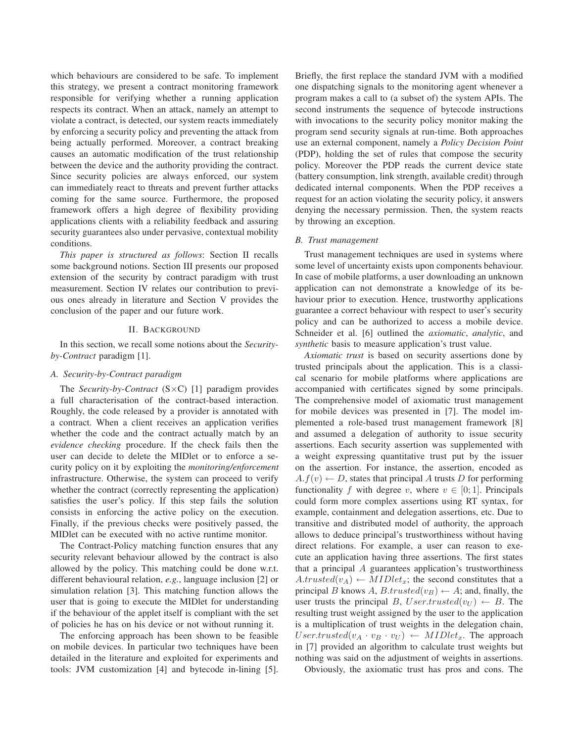which behaviours are considered to be safe. To implement this strategy, we present a contract monitoring framework responsible for verifying whether a running application respects its contract. When an attack, namely an attempt to violate a contract, is detected, our system reacts immediately by enforcing a security policy and preventing the attack from being actually performed. Moreover, a contract breaking causes an automatic modification of the trust relationship between the device and the authority providing the contract. Since security policies are always enforced, our system can immediately react to threats and prevent further attacks coming for the same source. Furthermore, the proposed framework offers a high degree of flexibility providing applications clients with a reliability feedback and assuring security guarantees also under pervasive, contextual mobility conditions.

*This paper is structured as follows*: Section II recalls some background notions. Section III presents our proposed extension of the security by contract paradigm with trust measurement. Section IV relates our contribution to previous ones already in literature and Section V provides the conclusion of the paper and our future work.

# II. BACKGROUND

In this section, we recall some notions about the *Securityby-Contract* paradigm [1].

## *A. Security-by-Contract paradigm*

The *Security-by-Contract* (S×C) [1] paradigm provides a full characterisation of the contract-based interaction. Roughly, the code released by a provider is annotated with a contract. When a client receives an application verifies whether the code and the contract actually match by an *evidence checking* procedure. If the check fails then the user can decide to delete the MIDlet or to enforce a security policy on it by exploiting the *monitoring/enforcement* infrastructure. Otherwise, the system can proceed to verify whether the contract (correctly representing the application) satisfies the user's policy. If this step fails the solution consists in enforcing the active policy on the execution. Finally, if the previous checks were positively passed, the MIDlet can be executed with no active runtime monitor.

The Contract-Policy matching function ensures that any security relevant behaviour allowed by the contract is also allowed by the policy. This matching could be done w.r.t. different behavioural relation, *e.g.*, language inclusion [2] or simulation relation [3]. This matching function allows the user that is going to execute the MIDlet for understanding if the behaviour of the applet itself is compliant with the set of policies he has on his device or not without running it.

The enforcing approach has been shown to be feasible on mobile devices. In particular two techniques have been detailed in the literature and exploited for experiments and tools: JVM customization [4] and bytecode in-lining [5]. Briefly, the first replace the standard JVM with a modified one dispatching signals to the monitoring agent whenever a program makes a call to (a subset of) the system APIs. The second instruments the sequence of bytecode instructions with invocations to the security policy monitor making the program send security signals at run-time. Both approaches use an external component, namely a *Policy Decision Point* (PDP), holding the set of rules that compose the security policy. Moreover the PDP reads the current device state (battery consumption, link strength, available credit) through dedicated internal components. When the PDP receives a request for an action violating the security policy, it answers denying the necessary permission. Then, the system reacts by throwing an exception.

### *B. Trust management*

Trust management techniques are used in systems where some level of uncertainty exists upon components behaviour. In case of mobile platforms, a user downloading an unknown application can not demonstrate a knowledge of its behaviour prior to execution. Hence, trustworthy applications guarantee a correct behaviour with respect to user's security policy and can be authorized to access a mobile device. Schneider et al. [6] outlined the *axiomatic*, *analytic*, and *synthetic* basis to measure application's trust value.

*Axiomatic trust* is based on security assertions done by trusted principals about the application. This is a classical scenario for mobile platforms where applications are accompanied with certificates signed by some principals. The comprehensive model of axiomatic trust management for mobile devices was presented in [7]. The model implemented a role-based trust management framework [8] and assumed a delegation of authority to issue security assertions. Each security assertion was supplemented with a weight expressing quantitative trust put by the issuer on the assertion. For instance, the assertion, encoded as  $A.f(v) \leftarrow D$ , states that principal A trusts D for performing functionality f with degree v, where  $v \in [0; 1]$ . Principals could form more complex assertions using RT syntax, for example, containment and delegation assertions, etc. Due to transitive and distributed model of authority, the approach allows to deduce principal's trustworthiness without having direct relations. For example, a user can reason to execute an application having three assertions. The first states that a principal A guarantees application's trustworthiness  $A.trusted(v_A) \leftarrow MIDlet_x$ ; the second constitutes that a principal B knows A,  $B.trusted(v_B) \leftarrow A$ ; and, finally, the user trusts the principal B,  $User.trusted(v_U) \leftarrow B$ . The resulting trust weight assigned by the user to the application is a multiplication of trust weights in the delegation chain,  $User. trusted(v_A \cdot v_B \cdot v_U) \leftarrow MIDlet_x$ . The approach in [7] provided an algorithm to calculate trust weights but nothing was said on the adjustment of weights in assertions.

Obviously, the axiomatic trust has pros and cons. The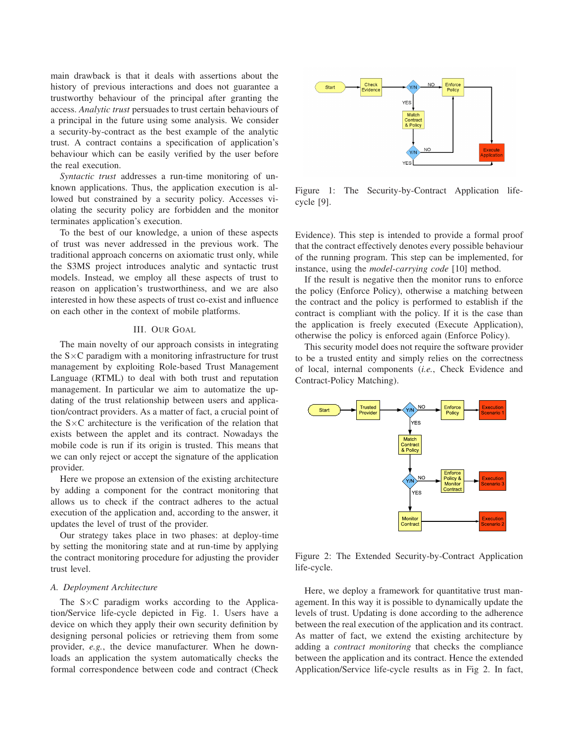main drawback is that it deals with assertions about the history of previous interactions and does not guarantee a trustworthy behaviour of the principal after granting the access. *Analytic trust* persuades to trust certain behaviours of a principal in the future using some analysis. We consider a security-by-contract as the best example of the analytic trust. A contract contains a specification of application's behaviour which can be easily verified by the user before the real execution.

*Syntactic trust* addresses a run-time monitoring of unknown applications. Thus, the application execution is allowed but constrained by a security policy. Accesses violating the security policy are forbidden and the monitor terminates application's execution.

To the best of our knowledge, a union of these aspects of trust was never addressed in the previous work. The traditional approach concerns on axiomatic trust only, while the S3MS project introduces analytic and syntactic trust models. Instead, we employ all these aspects of trust to reason on application's trustworthiness, and we are also interested in how these aspects of trust co-exist and influence on each other in the context of mobile platforms.

# III. OUR GOAL

The main novelty of our approach consists in integrating the  $S \times C$  paradigm with a monitoring infrastructure for trust management by exploiting Role-based Trust Management Language (RTML) to deal with both trust and reputation management. In particular we aim to automatize the updating of the trust relationship between users and application/contract providers. As a matter of fact, a crucial point of the  $S \times C$  architecture is the verification of the relation that exists between the applet and its contract. Nowadays the mobile code is run if its origin is trusted. This means that we can only reject or accept the signature of the application provider.

Here we propose an extension of the existing architecture by adding a component for the contract monitoring that allows us to check if the contract adheres to the actual execution of the application and, according to the answer, it updates the level of trust of the provider.

Our strategy takes place in two phases: at deploy-time by setting the monitoring state and at run-time by applying the contract monitoring procedure for adjusting the provider trust level.

# *A. Deployment Architecture*

The  $S \times C$  paradigm works according to the Application/Service life-cycle depicted in Fig. 1. Users have a device on which they apply their own security definition by designing personal policies or retrieving them from some provider, *e.g.*, the device manufacturer. When he downloads an application the system automatically checks the formal correspondence between code and contract (Check



Figure 1: The Security-by-Contract Application lifecycle [9].

Evidence). This step is intended to provide a formal proof that the contract effectively denotes every possible behaviour of the running program. This step can be implemented, for instance, using the *model-carrying code* [10] method.

If the result is negative then the monitor runs to enforce the policy (Enforce Policy), otherwise a matching between the contract and the policy is performed to establish if the contract is compliant with the policy. If it is the case than the application is freely executed (Execute Application), otherwise the policy is enforced again (Enforce Policy).

This security model does not require the software provider to be a trusted entity and simply relies on the correctness of local, internal components (*i.e.*, Check Evidence and Contract-Policy Matching).



Figure 2: The Extended Security-by-Contract Application life-cycle.

Here, we deploy a framework for quantitative trust management. In this way it is possible to dynamically update the levels of trust. Updating is done according to the adherence between the real execution of the application and its contract. As matter of fact, we extend the existing architecture by adding a *contract monitoring* that checks the compliance between the application and its contract. Hence the extended Application/Service life-cycle results as in Fig 2. In fact,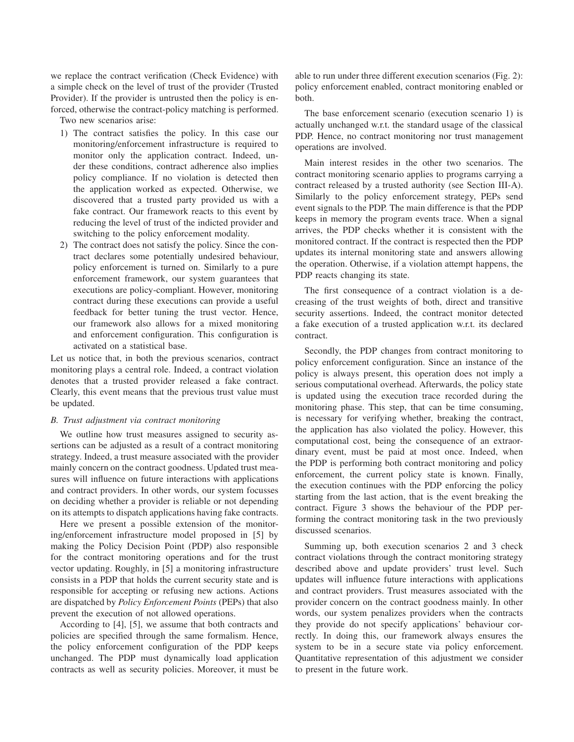we replace the contract verification (Check Evidence) with a simple check on the level of trust of the provider (Trusted Provider). If the provider is untrusted then the policy is enforced, otherwise the contract-policy matching is performed. Two new scenarios arise:

- 1) The contract satisfies the policy. In this case our monitoring/enforcement infrastructure is required to monitor only the application contract. Indeed, under these conditions, contract adherence also implies policy compliance. If no violation is detected then the application worked as expected. Otherwise, we discovered that a trusted party provided us with a fake contract. Our framework reacts to this event by reducing the level of trust of the indicted provider and switching to the policy enforcement modality.
- 2) The contract does not satisfy the policy. Since the contract declares some potentially undesired behaviour, policy enforcement is turned on. Similarly to a pure enforcement framework, our system guarantees that executions are policy-compliant. However, monitoring contract during these executions can provide a useful feedback for better tuning the trust vector. Hence, our framework also allows for a mixed monitoring and enforcement configuration. This configuration is activated on a statistical base.

Let us notice that, in both the previous scenarios, contract monitoring plays a central role. Indeed, a contract violation denotes that a trusted provider released a fake contract. Clearly, this event means that the previous trust value must be updated.

### *B. Trust adjustment via contract monitoring*

We outline how trust measures assigned to security assertions can be adjusted as a result of a contract monitoring strategy. Indeed, a trust measure associated with the provider mainly concern on the contract goodness. Updated trust measures will influence on future interactions with applications and contract providers. In other words, our system focusses on deciding whether a provider is reliable or not depending on its attempts to dispatch applications having fake contracts.

Here we present a possible extension of the monitoring/enforcement infrastructure model proposed in [5] by making the Policy Decision Point (PDP) also responsible for the contract monitoring operations and for the trust vector updating. Roughly, in [5] a monitoring infrastructure consists in a PDP that holds the current security state and is responsible for accepting or refusing new actions. Actions are dispatched by *Policy Enforcement Points* (PEPs) that also prevent the execution of not allowed operations.

According to [4], [5], we assume that both contracts and policies are specified through the same formalism. Hence, the policy enforcement configuration of the PDP keeps unchanged. The PDP must dynamically load application contracts as well as security policies. Moreover, it must be able to run under three different execution scenarios (Fig. 2): policy enforcement enabled, contract monitoring enabled or both.

The base enforcement scenario (execution scenario 1) is actually unchanged w.r.t. the standard usage of the classical PDP. Hence, no contract monitoring nor trust management operations are involved.

Main interest resides in the other two scenarios. The contract monitoring scenario applies to programs carrying a contract released by a trusted authority (see Section III-A). Similarly to the policy enforcement strategy, PEPs send event signals to the PDP. The main difference is that the PDP keeps in memory the program events trace. When a signal arrives, the PDP checks whether it is consistent with the monitored contract. If the contract is respected then the PDP updates its internal monitoring state and answers allowing the operation. Otherwise, if a violation attempt happens, the PDP reacts changing its state.

The first consequence of a contract violation is a decreasing of the trust weights of both, direct and transitive security assertions. Indeed, the contract monitor detected a fake execution of a trusted application w.r.t. its declared contract.

Secondly, the PDP changes from contract monitoring to policy enforcement configuration. Since an instance of the policy is always present, this operation does not imply a serious computational overhead. Afterwards, the policy state is updated using the execution trace recorded during the monitoring phase. This step, that can be time consuming, is necessary for verifying whether, breaking the contract, the application has also violated the policy. However, this computational cost, being the consequence of an extraordinary event, must be paid at most once. Indeed, when the PDP is performing both contract monitoring and policy enforcement, the current policy state is known. Finally, the execution continues with the PDP enforcing the policy starting from the last action, that is the event breaking the contract. Figure 3 shows the behaviour of the PDP performing the contract monitoring task in the two previously discussed scenarios.

Summing up, both execution scenarios 2 and 3 check contract violations through the contract monitoring strategy described above and update providers' trust level. Such updates will influence future interactions with applications and contract providers. Trust measures associated with the provider concern on the contract goodness mainly. In other words, our system penalizes providers when the contracts they provide do not specify applications' behaviour correctly. In doing this, our framework always ensures the system to be in a secure state via policy enforcement. Quantitative representation of this adjustment we consider to present in the future work.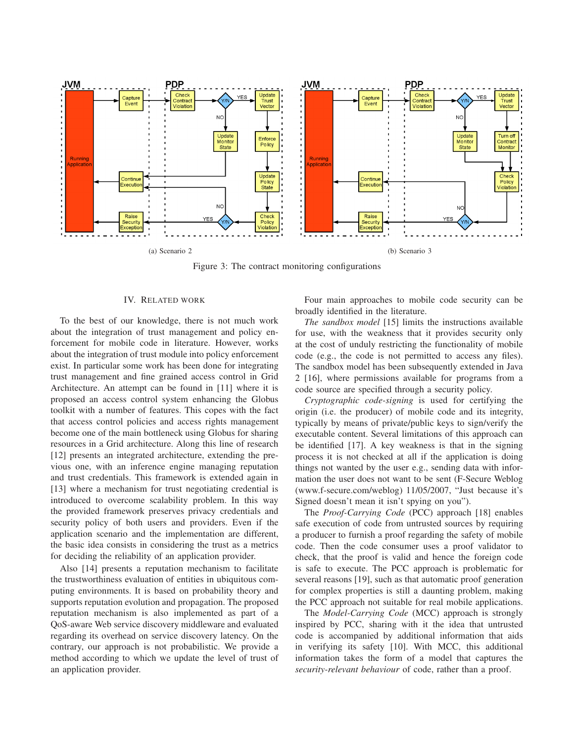

Figure 3: The contract monitoring configurations

# IV. RELATED WORK

To the best of our knowledge, there is not much work about the integration of trust management and policy enforcement for mobile code in literature. However, works about the integration of trust module into policy enforcement exist. In particular some work has been done for integrating trust management and fine grained access control in Grid Architecture. An attempt can be found in [11] where it is proposed an access control system enhancing the Globus toolkit with a number of features. This copes with the fact that access control policies and access rights management become one of the main bottleneck using Globus for sharing resources in a Grid architecture. Along this line of research [12] presents an integrated architecture, extending the previous one, with an inference engine managing reputation and trust credentials. This framework is extended again in [13] where a mechanism for trust negotiating credential is introduced to overcome scalability problem. In this way the provided framework preserves privacy credentials and security policy of both users and providers. Even if the application scenario and the implementation are different, the basic idea consists in considering the trust as a metrics for deciding the reliability of an application provider.

Also [14] presents a reputation mechanism to facilitate the trustworthiness evaluation of entities in ubiquitous computing environments. It is based on probability theory and supports reputation evolution and propagation. The proposed reputation mechanism is also implemented as part of a QoS-aware Web service discovery middleware and evaluated regarding its overhead on service discovery latency. On the contrary, our approach is not probabilistic. We provide a method according to which we update the level of trust of an application provider.

Four main approaches to mobile code security can be broadly identified in the literature.

*The sandbox model* [15] limits the instructions available for use, with the weakness that it provides security only at the cost of unduly restricting the functionality of mobile code (e.g., the code is not permitted to access any files). The sandbox model has been subsequently extended in Java 2 [16], where permissions available for programs from a code source are specified through a security policy.

*Cryptographic code-signing* is used for certifying the origin (i.e. the producer) of mobile code and its integrity, typically by means of private/public keys to sign/verify the executable content. Several limitations of this approach can be identified [17]. A key weakness is that in the signing process it is not checked at all if the application is doing things not wanted by the user e.g., sending data with information the user does not want to be sent (F-Secure Weblog (www.f-secure.com/weblog) 11/05/2007, "Just because it's Signed doesn't mean it isn't spying on you").

The *Proof-Carrying Code* (PCC) approach [18] enables safe execution of code from untrusted sources by requiring a producer to furnish a proof regarding the safety of mobile code. Then the code consumer uses a proof validator to check, that the proof is valid and hence the foreign code is safe to execute. The PCC approach is problematic for several reasons [19], such as that automatic proof generation for complex properties is still a daunting problem, making the PCC approach not suitable for real mobile applications.

The *Model-Carrying Code* (MCC) approach is strongly inspired by PCC, sharing with it the idea that untrusted code is accompanied by additional information that aids in verifying its safety [10]. With MCC, this additional information takes the form of a model that captures the *security-relevant behaviour* of code, rather than a proof.